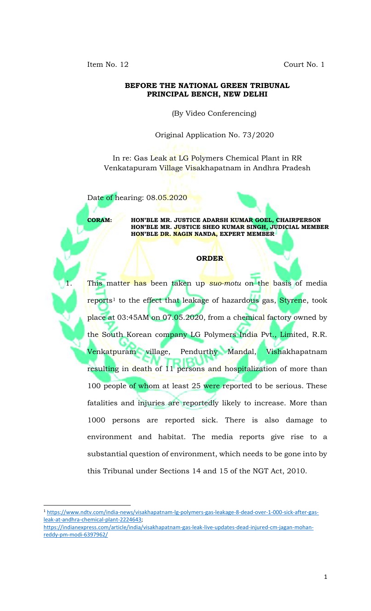Item No. 12 Court No. 1

## **BEFORE THE NATIONAL GREEN TRIBUNAL PRINCIPAL BENCH, NEW DELHI**

(By Video Conferencing)

Original Application No. 73/2020

In re: Gas Leak at LG Polymers Chemical Plant in RR Venkatapuram Village Visakhapatnam in Andhra Pradesh

Date of hearing: 08.05.2020

l

**CORAM: HON'BLE MR. JUSTICE ADARSH KUMAR GOEL, CHAIRPERSON HON'BLE MR. JUSTICE SHEO KUMAR SINGH, JUDICIAL MEMBER HON'BLE DR. NAGIN NANDA, EXPERT MEMBER**

## **ORDER**

This matter has been taken up *suo-motu* on the basis of media reports<sup>1</sup> to the effect that leakage of hazardous gas, Styrene, took place at 03:45AM on 07.05.2020, from a chemical factory owned by the South Korean company LG Polymers India Pvt., Limited, R.R. Venkatpuram village, Pendurthy Mandal, Vishakhapatnam resulting in death of 11 persons and hospitalization of more than 100 people of whom at least 25 were reported to be serious. These fatalities and injuries are reportedly likely to increase. More than 1000 persons are reported sick. There is also damage to environment and habitat. The media reports give rise to a substantial question of environment, which needs to be gone into by this Tribunal under Sections 14 and 15 of the NGT Act, 2010.

<sup>1</sup> [https://www.ndtv.com/india-news/visakhapatnam-lg-polymers-gas-leakage-8-dead-over-1-000-sick-after-gas](https://www.ndtv.com/india-news/visakhapatnam-lg-polymers-gas-leakage-8-dead-over-1-000-sick-after-gas-leak-at-andhra-chemical-plant-2224643)[leak-at-andhra-chemical-plant-2224643;](https://www.ndtv.com/india-news/visakhapatnam-lg-polymers-gas-leakage-8-dead-over-1-000-sick-after-gas-leak-at-andhra-chemical-plant-2224643)

[https://indianexpress.com/article/india/visakhapatnam-gas-leak-live-updates-dead-injured-cm-jagan-mohan](https://indianexpress.com/article/india/visakhapatnam-gas-leak-live-updates-dead-injured-cm-jagan-mohan-reddy-pm-modi-6397962/)[reddy-pm-modi-6397962/](https://indianexpress.com/article/india/visakhapatnam-gas-leak-live-updates-dead-injured-cm-jagan-mohan-reddy-pm-modi-6397962/)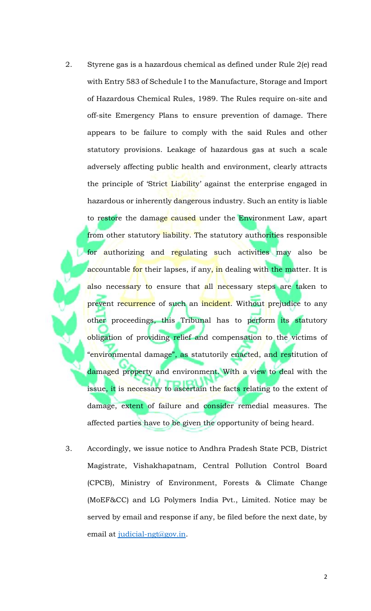- 2. Styrene gas is a hazardous chemical as defined under Rule 2(e) read with Entry 583 of Schedule I to the Manufacture, Storage and Import of Hazardous Chemical Rules, 1989. The Rules require on-site and off-site Emergency Plans to ensure prevention of damage. There appears to be failure to comply with the said Rules and other statutory provisions. Leakage of hazardous gas at such a scale adversely affecting public health and environment, clearly attracts the principle of 'Strict Liability' against the enterprise engaged in hazardous or inherently dangerous industry. Such an entity is liable to restore the damage caused under the Environment Law, apart from other statutory liability. The statutory authorities responsible for authorizing and regulating such activities may also be accountable for their lapses, if any, in dealing with the matter. It is also necessary to ensure that all necessary steps are taken to prevent recurrence of such an incident. Without prejudice to any other proceedings, this Tribunal has to perform its statutory obligation of providing relief and compensation to the victims of "environmental damage", as statutorily enacted, and restitution of damaged property and environment. With a view to deal with the issue, it is necessary to ascertain the facts relating to the extent of damage, extent of failure and consider remedial measures. The affected parties have to be given the opportunity of being heard.
- 3. Accordingly, we issue notice to Andhra Pradesh State PCB, District Magistrate, Vishakhapatnam, Central Pollution Control Board (CPCB), Ministry of Environment, Forests & Climate Change (MoEF&CC) and LG Polymers India Pvt., Limited. Notice may be served by email and response if any, be filed before the next date, by email at [judicial-ngt@gov.in.](mailto:judicial-ngt@gov.in)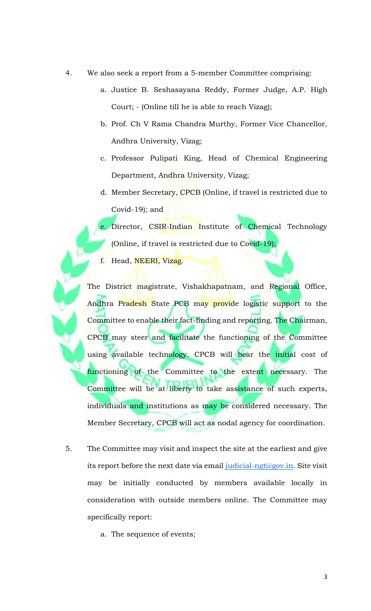- 4. We also seek a report from a 5-member Committee comprising:
	- a. Justice B. Seshasayana Reddy, Former Judge, A.P. High Court; - (Online till he is able to reach Vizag);
	- b. Prof. Ch V Rama Chandra Murthy, Former Vice Chancellor, Andhra University, Vizag;
	- c. Professor Pulipati King, Head of Chemical Engineering Department, Andhra University, Vizag;
	- d. Member Secretary, CPCB (Online, if travel is restricted due to Covid-19); and

e. Director, CSIR-Indian Institute of Chemical Technology (Online, if travel is restricted due to Covid-19);

f. Head, NEERI, Vizag.

The District magistrate, Vishakhapatnam, and Regional Office, Andhra Pradesh State PCB may provide logistic support to the Committee to enable their fact-finding and reporting. The Chairman, CPCB may steer and facilitate the functioning of the Committee using available technology. CPCB will bear the initial cost of functioning of the Committee to the extent necessary. The Committee will be at liberty to take assistance of such experts, individuals and institutions as may be considered necessary. The Member Secretary, CPCB will act as nodal agency for coordination.

- 5. The Committee may visit and inspect the site at the earliest and give its report before the next date via email [judicial-ngt@gov.in.](mailto:judicial-ngt@gov.in) Site visit may be initially conducted by members available locally in consideration with outside members online. The Committee may specifically report:
	- a. The sequence of events;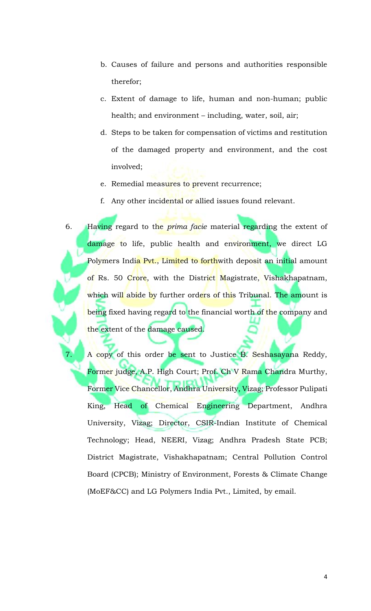- b. Causes of failure and persons and authorities responsible therefor;
- c. Extent of damage to life, human and non-human; public health; and environment – including, water, soil, air;
- d. Steps to be taken for compensation of victims and restitution of the damaged property and environment, and the cost involved;
- e. Remedial measures to prevent recurrence;
- f. Any other incidental or allied issues found relevant.
- 6. Having regard to the *prima facie* material regarding the extent of damage to life, public health and environment, we direct LG Polymers India Pvt., Limited to forthwith deposit an initial amount of Rs. 50 Crore, with the District Magistrate, Vishakhapatnam, which wil<mark>l abide b</mark>y further ord<mark>ers of this</mark> Tribunal. The amount is being fixed having regard to the financial worth of the company and the extent of the damage caused.

A copy of this order be sent to Justice B. Seshasayana Reddy, Former judge, A.P. High Court; Prof. Ch V Rama Chandra Murthy, Former Vice Chancellor, Andhra University, Vizag; Professor Pulipati King, Head of Chemical Engineering Department, Andhra University, Vizag; Director, CSIR-Indian Institute of Chemical Technology; Head, NEERI, Vizag; Andhra Pradesh State PCB; District Magistrate, Vishakhapatnam; Central Pollution Control Board (CPCB); Ministry of Environment, Forests & Climate Change (MoEF&CC) and LG Polymers India Pvt., Limited, by email.